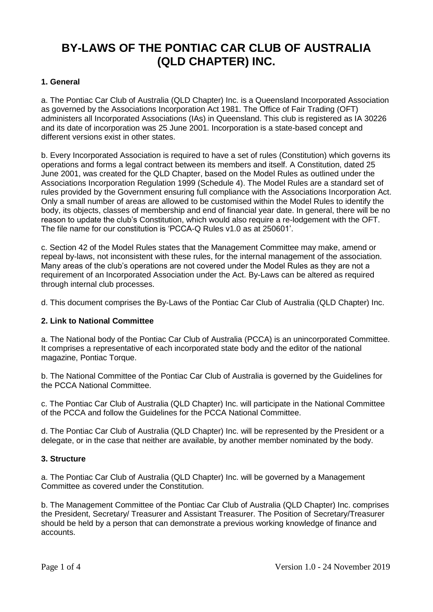# **BY-LAWS OF THE PONTIAC CAR CLUB OF AUSTRALIA (QLD CHAPTER) INC.**

## **1. General**

a. The Pontiac Car Club of Australia (QLD Chapter) Inc. is a Queensland Incorporated Association as governed by the Associations Incorporation Act 1981. The Office of Fair Trading (OFT) administers all Incorporated Associations (IAs) in Queensland. This club is registered as IA 30226 and its date of incorporation was 25 June 2001. Incorporation is a state-based concept and different versions exist in other states.

b. Every Incorporated Association is required to have a set of rules (Constitution) which governs its operations and forms a legal contract between its members and itself. A Constitution, dated 25 June 2001, was created for the QLD Chapter, based on the Model Rules as outlined under the Associations Incorporation Regulation 1999 (Schedule 4). The Model Rules are a standard set of rules provided by the Government ensuring full compliance with the Associations Incorporation Act. Only a small number of areas are allowed to be customised within the Model Rules to identify the body, its objects, classes of membership and end of financial year date. In general, there will be no reason to update the club's Constitution, which would also require a re-lodgement with the OFT. The file name for our constitution is 'PCCA-Q Rules v1.0 as at 250601'.

c. Section 42 of the Model Rules states that the Management Committee may make, amend or repeal by-laws, not inconsistent with these rules, for the internal management of the association. Many areas of the club's operations are not covered under the Model Rules as they are not a requirement of an Incorporated Association under the Act. By-Laws can be altered as required through internal club processes.

d. This document comprises the By-Laws of the Pontiac Car Club of Australia (QLD Chapter) Inc.

### **2. Link to National Committee**

a. The National body of the Pontiac Car Club of Australia (PCCA) is an unincorporated Committee. It comprises a representative of each incorporated state body and the editor of the national magazine, Pontiac Torque.

b. The National Committee of the Pontiac Car Club of Australia is governed by the Guidelines for the PCCA National Committee.

c. The Pontiac Car Club of Australia (QLD Chapter) Inc. will participate in the National Committee of the PCCA and follow the Guidelines for the PCCA National Committee.

d. The Pontiac Car Club of Australia (QLD Chapter) Inc. will be represented by the President or a delegate, or in the case that neither are available, by another member nominated by the body.

### **3. Structure**

a. The Pontiac Car Club of Australia (QLD Chapter) Inc. will be governed by a Management Committee as covered under the Constitution.

b. The Management Committee of the Pontiac Car Club of Australia (QLD Chapter) Inc. comprises the President, Secretary/ Treasurer and Assistant Treasurer. The Position of Secretary/Treasurer should be held by a person that can demonstrate a previous working knowledge of finance and accounts.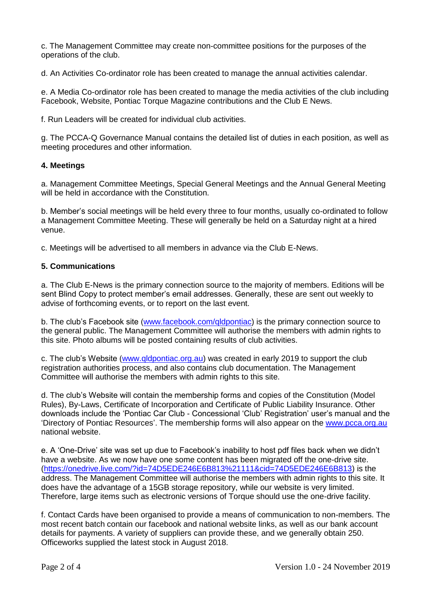c. The Management Committee may create non-committee positions for the purposes of the operations of the club.

d. An Activities Co-ordinator role has been created to manage the annual activities calendar.

e. A Media Co-ordinator role has been created to manage the media activities of the club including Facebook, Website, Pontiac Torque Magazine contributions and the Club E News.

f. Run Leaders will be created for individual club activities.

g. The PCCA-Q Governance Manual contains the detailed list of duties in each position, as well as meeting procedures and other information.

## **4. Meetings**

a. Management Committee Meetings, Special General Meetings and the Annual General Meeting will be held in accordance with the Constitution.

b. Member's social meetings will be held every three to four months, usually co-ordinated to follow a Management Committee Meeting. These will generally be held on a Saturday night at a hired venue.

c. Meetings will be advertised to all members in advance via the Club E-News.

## **5. Communications**

a. The Club E-News is the primary connection source to the majority of members. Editions will be sent Blind Copy to protect member's email addresses. Generally, these are sent out weekly to advise of forthcoming events, or to report on the last event.

b. The club's Facebook site [\(www.facebook.com/qldpontiac\)](http://www.facebook.com/qldpontiac) is the primary connection source to the general public. The Management Committee will authorise the members with admin rights to this site. Photo albums will be posted containing results of club activities.

c. The club's Website [\(www.qldpontiac.org.au\)](http://www.qldpontiac.org.au/) was created in early 2019 to support the club registration authorities process, and also contains club documentation. The Management Committee will authorise the members with admin rights to this site.

d. The club's Website will contain the membership forms and copies of the Constitution (Model Rules), By-Laws, Certificate of Incorporation and Certificate of Public Liability Insurance. Other downloads include the 'Pontiac Car Club - Concessional 'Club' Registration' user's manual and the 'Directory of Pontiac Resources'. The membership forms will also appear on the [www.pcca.org.au](http://www.pcca.org.au/) national website.

e. A 'One-Drive' site was set up due to Facebook's inability to host pdf files back when we didn't have a website. As we now have one some content has been migrated off the one-drive site. [\(https://onedrive.live.com/?id=74D5EDE246E6B813%21111&cid=74D5EDE246E6B813\)](https://onedrive.live.com/?id=74D5EDE246E6B813%21111&cid=74D5EDE246E6B813) is the address. The Management Committee will authorise the members with admin rights to this site. It does have the advantage of a 15GB storage repository, while our website is very limited. Therefore, large items such as electronic versions of Torque should use the one-drive facility.

f. Contact Cards have been organised to provide a means of communication to non-members. The most recent batch contain our facebook and national website links, as well as our bank account details for payments. A variety of suppliers can provide these, and we generally obtain 250. Officeworks supplied the latest stock in August 2018.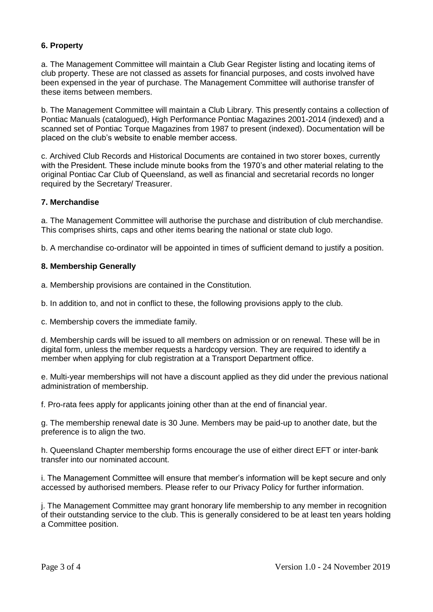## **6. Property**

a. The Management Committee will maintain a Club Gear Register listing and locating items of club property. These are not classed as assets for financial purposes, and costs involved have been expensed in the year of purchase. The Management Committee will authorise transfer of these items between members.

b. The Management Committee will maintain a Club Library. This presently contains a collection of Pontiac Manuals (catalogued), High Performance Pontiac Magazines 2001-2014 (indexed) and a scanned set of Pontiac Torque Magazines from 1987 to present (indexed). Documentation will be placed on the club's website to enable member access.

c. Archived Club Records and Historical Documents are contained in two storer boxes, currently with the President. These include minute books from the 1970's and other material relating to the original Pontiac Car Club of Queensland, as well as financial and secretarial records no longer required by the Secretary/ Treasurer.

### **7. Merchandise**

a. The Management Committee will authorise the purchase and distribution of club merchandise. This comprises shirts, caps and other items bearing the national or state club logo.

b. A merchandise co-ordinator will be appointed in times of sufficient demand to justify a position.

#### **8. Membership Generally**

a. Membership provisions are contained in the Constitution.

b. In addition to, and not in conflict to these, the following provisions apply to the club.

c. Membership covers the immediate family.

d. Membership cards will be issued to all members on admission or on renewal. These will be in digital form, unless the member requests a hardcopy version. They are required to identify a member when applying for club registration at a Transport Department office.

e. Multi-year memberships will not have a discount applied as they did under the previous national administration of membership.

f. Pro-rata fees apply for applicants joining other than at the end of financial year.

g. The membership renewal date is 30 June. Members may be paid-up to another date, but the preference is to align the two.

h. Queensland Chapter membership forms encourage the use of either direct EFT or inter-bank transfer into our nominated account.

i. The Management Committee will ensure that member's information will be kept secure and only accessed by authorised members. Please refer to our Privacy Policy for further information.

j. The Management Committee may grant honorary life membership to any member in recognition of their outstanding service to the club. This is generally considered to be at least ten years holding a Committee position.